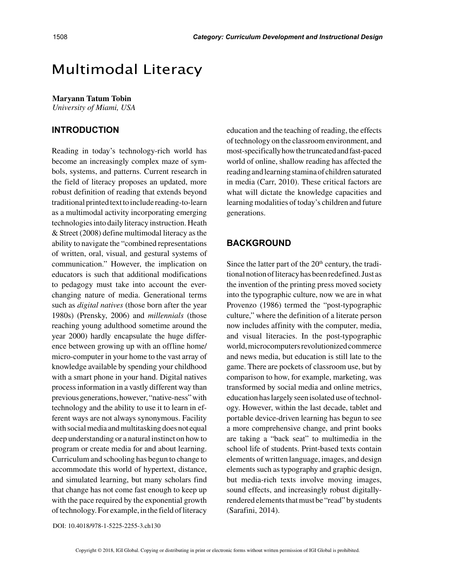# Multimodal Literacy

#### **Maryann Tatum Tobin**

*University of Miami, USA*

## **INTRODUCTION**

Reading in today's technology-rich world has become an increasingly complex maze of symbols, systems, and patterns. Current research in the field of literacy proposes an updated, more robust definition of reading that extends beyond traditional printed text to include reading-to-learn as a multimodal activity incorporating emerging technologies into daily literacy instruction. Heath & Street (2008) define multimodal literacy as the ability to navigate the "combined representations of written, oral, visual, and gestural systems of communication." However, the implication on educators is such that additional modifications to pedagogy must take into account the everchanging nature of media. Generational terms such as *digital natives* (those born after the year 1980s) (Prensky, 2006) and *millennials* (those reaching young adulthood sometime around the year 2000) hardly encapsulate the huge difference between growing up with an offline home/ micro-computer in your home to the vast array of knowledge available by spending your childhood with a smart phone in your hand. Digital natives process information in a vastly different way than previous generations, however, "native-ness" with technology and the ability to use it to learn in efferent ways are not always synonymous. Facility with social media and multitasking does not equal deep understanding or a natural instinct on how to program or create media for and about learning. Curriculum and schooling has begun to change to accommodate this world of hypertext, distance, and simulated learning, but many scholars find that change has not come fast enough to keep up with the pace required by the exponential growth of technology. For example, in the field of literacy education and the teaching of reading, the effects of technology on the classroom environment, and most-specifically how the truncated and fast-paced world of online, shallow reading has affected the reading and learning stamina of children saturated in media (Carr, 2010). These critical factors are what will dictate the knowledge capacities and learning modalities of today's children and future generations.

## **BACKGROUND**

Since the latter part of the  $20<sup>th</sup>$  century, the traditional notion of literacy has been redefined. Just as the invention of the printing press moved society into the typographic culture, now we are in what Provenzo (1986) termed the "post-typographic culture," where the definition of a literate person now includes affinity with the computer, media, and visual literacies. In the post-typographic world, microcomputers revolutionized commerce and news media, but education is still late to the game. There are pockets of classroom use, but by comparison to how, for example, marketing, was transformed by social media and online metrics, education has largely seen isolated use of technology. However, within the last decade, tablet and portable device-driven learning has begun to see a more comprehensive change, and print books are taking a "back seat" to multimedia in the school life of students. Print-based texts contain elements of written language, images, and design elements such as typography and graphic design, but media-rich texts involve moving images, sound effects, and increasingly robust digitallyrendered elements that must be "read" by students (Sarafini, 2014).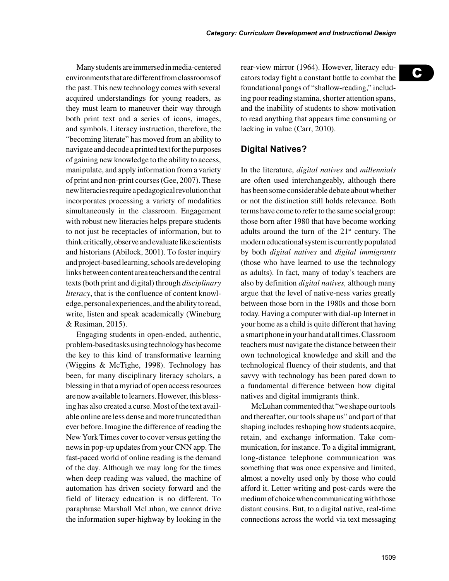Many students are immersed in media-centered environments that are different from classrooms of the past. This new technology comes with several acquired understandings for young readers, as they must learn to maneuver their way through both print text and a series of icons, images, and symbols. Literacy instruction, therefore, the "becoming literate" has moved from an ability to navigate and decode a printed text for the purposes of gaining new knowledge to the ability to access, manipulate, and apply information from a variety of print and non-print courses (Gee, 2007). These new literacies require a pedagogical revolution that incorporates processing a variety of modalities simultaneously in the classroom. Engagement with robust new literacies helps prepare students to not just be receptacles of information, but to think critically, observe and evaluate like scientists and historians (Abilock, 2001). To foster inquiry and project-based learning, schools are developing links between content area teachers and the central texts (both print and digital) through *disciplinary literacy*, that is the confluence of content knowledge, personal experiences, and the ability to read, write, listen and speak academically (Wineburg & Resiman, 2015).

Engaging students in open-ended, authentic, problem-based tasks using technology has become the key to this kind of transformative learning (Wiggins & McTighe, 1998). Technology has been, for many disciplinary literacy scholars, a blessing in that a myriad of open access resources are now available to learners. However, this blessing has also created a curse. Most of the text available online are less dense and more truncated than ever before. Imagine the difference of reading the New York Times cover to cover versus getting the news in pop-up updates from your CNN app. The fast-paced world of online reading is the demand of the day. Although we may long for the times when deep reading was valued, the machine of automation has driven society forward and the field of literacy education is no different. To paraphrase Marshall McLuhan, we cannot drive the information super-highway by looking in the rear-view mirror (1964). However, literacy educators today fight a constant battle to combat the foundational pangs of "shallow-reading," including poor reading stamina, shorter attention spans, and the inability of students to show motivation to read anything that appears time consuming or lacking in value (Carr, 2010).

#### **Digital Natives?**

In the literature, *digital natives* and *millennials* are often used interchangeably, although there has been some considerable debate about whether or not the distinction still holds relevance. Both terms have come to refer to the same social group: those born after 1980 that have become working adults around the turn of the  $21<sup>st</sup>$  century. The modern educational system is currently populated by both *digital natives* and *digital immigrants* (those who have learned to use the technology as adults). In fact, many of today's teachers are also by definition *digital natives,* although many argue that the level of native-ness varies greatly between those born in the 1980s and those born today. Having a computer with dial-up Internet in your home as a child is quite different that having a smart phone in your hand at all times. Classroom teachers must navigate the distance between their own technological knowledge and skill and the technological fluency of their students, and that savvy with technology has been pared down to a fundamental difference between how digital natives and digital immigrants think.

McLuhan commented that "we shape our tools and thereafter, our tools shape us" and part of that shaping includes reshaping how students acquire, retain, and exchange information. Take communication, for instance. To a digital immigrant, long-distance telephone communication was something that was once expensive and limited, almost a novelty used only by those who could afford it. Letter writing and post-cards were the medium of choice when communicating with those distant cousins. But, to a digital native, real-time connections across the world via text messaging